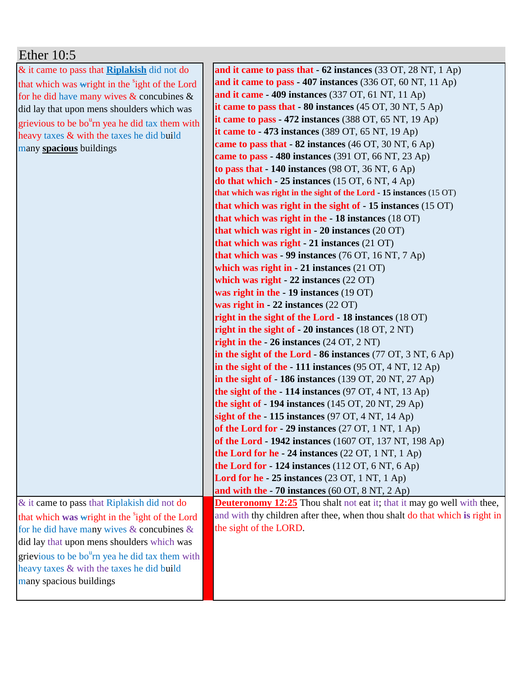| Ether $10:5$                                                |                                                                                       |
|-------------------------------------------------------------|---------------------------------------------------------------------------------------|
| & it came to pass that <b>Riplakish</b> did not do          | and it came to pass that $-62$ instances (33 OT, 28 NT, 1 Ap)                         |
| that which was wright in the <sup>s</sup> ight of the Lord  | and it came to pass - 407 instances $(336 \text{ OT}, 60 \text{ NT}, 11 \text{ Ap})$  |
| for he did have many wives $\&$ concubines $\&$             | and it came - 409 instances (337 OT, 61 NT, 11 Ap)                                    |
| did lay that upon mens shoulders which was                  | it came to pass that $-80$ instances (45 OT, 30 NT, 5 Ap)                             |
| grievious to be bo <sup>u</sup> rn yea he did tax them with | it came to pass - 472 instances $(388 \text{ OT}, 65 \text{ NT}, 19 \text{ Ap})$      |
| heavy taxes & with the taxes he did build                   | it came to $-473$ instances (389 OT, 65 NT, 19 Ap)                                    |
| many spacious buildings                                     | came to pass that $-82$ instances (46 OT, 30 NT, 6 Ap)                                |
|                                                             | came to pass - 480 instances (391 OT, 66 NT, 23 Ap)                                   |
|                                                             | to pass that $-140$ instances (98 OT, 36 NT, 6 Ap)                                    |
|                                                             | do that which $-25$ instances (15 OT, 6 NT, 4 Ap)                                     |
|                                                             | that which was right in the sight of the Lord - 15 instances (15 OT)                  |
|                                                             | that which was right in the sight of $-15$ instances (15 OT)                          |
|                                                             | that which was right in the - 18 instances (18 OT)                                    |
|                                                             | that which was right in $-20$ instances $(20 \text{ OT})$                             |
|                                                             | that which was right $-21$ instances (21 OT)                                          |
|                                                             | that which was - 99 instances $(76 \text{ OT}, 16 \text{ NT}, 7 \text{ Ap})$          |
|                                                             | which was right in $-21$ instances $(21 \text{ OT})$                                  |
|                                                             | which was right $-22$ instances $(22 \text{ OT})$                                     |
|                                                             | was right in the - 19 instances (19 OT)                                               |
|                                                             | was right in $-22$ instances $(22 \text{ OT})$                                        |
|                                                             | right in the sight of the Lord - 18 instances (18 OT)                                 |
|                                                             | right in the sight of $-20$ instances (18 OT, 2 NT)                                   |
|                                                             | right in the $-26$ instances (24 OT, 2 NT)                                            |
|                                                             | in the sight of the Lord - 86 instances $(77 \text{ OT}, 3 \text{ NT}, 6 \text{ Ap})$ |
|                                                             | in the sight of the $-111$ instances (95 OT, 4 NT, 12 Ap)                             |
|                                                             | in the sight of $-186$ instances (139 OT, 20 NT, 27 Ap)                               |
|                                                             | the sight of the $-114$ instances (97 OT, 4 NT, 13 Ap)                                |
|                                                             | the sight of $-194$ instances (145 OT, 20 NT, 29 Ap)                                  |
|                                                             | sight of the - 115 instances (97 OT, 4 NT, 14 Ap)                                     |
|                                                             | of the Lord for $-29$ instances (27 OT, 1 NT, 1 Ap)                                   |
|                                                             | of the Lord - 1942 instances (1607 OT, 137 NT, 198 Ap)                                |
|                                                             | the Lord for he - 24 instances $(22 OT, 1 NT, 1 Ap)$                                  |
|                                                             | the Lord for $-124$ instances (112 OT, 6 NT, 6 Ap)                                    |
|                                                             | <b>Lord for he</b> $-25$ instances (23 OT, 1 NT, 1 Ap)                                |
|                                                             | and with the $-70$ instances (60 OT, 8 NT, 2 Ap)                                      |
| & it came to pass that Riplakish did not do                 | <b>Deuteronomy 12:25</b> Thou shalt not eat it; that it may go well with thee,        |
| that which was wright in the <sup>s</sup> ight of the Lord  | and with thy children after thee, when thou shalt do that which is right in           |
| for he did have many wives $&$ concubines $&$               | the sight of the LORD.                                                                |
| did lay that upon mens shoulders which was                  |                                                                                       |
| grievious to be bo <sup>u</sup> rn yea he did tax them with |                                                                                       |
| heavy taxes & with the taxes he did build                   |                                                                                       |
| many spacious buildings                                     |                                                                                       |
|                                                             |                                                                                       |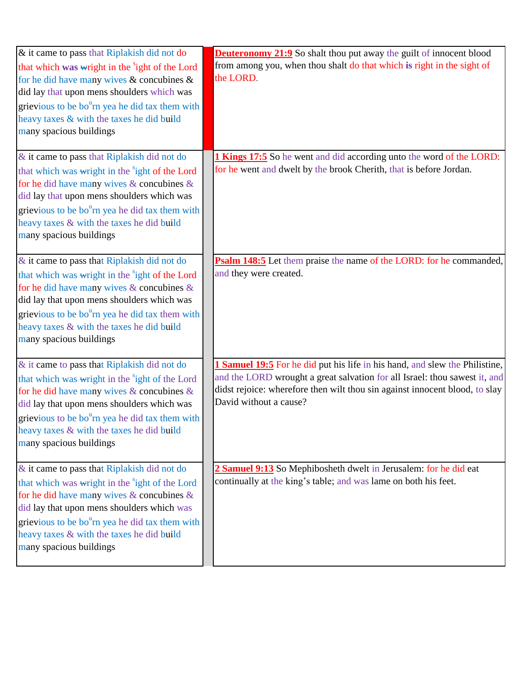| & it came to pass that Riplakish did not do                                                                                                                 | <b>Deuteronomy 21:9</b> So shalt thou put away the guilt of innocent blood          |
|-------------------------------------------------------------------------------------------------------------------------------------------------------------|-------------------------------------------------------------------------------------|
| that which was wright in the <sup>s</sup> ight of the Lord<br>for he did have many wives $\&$ concubines $\&$<br>did lay that upon mens shoulders which was | from among you, when thou shalt do that which is right in the sight of<br>the LORD. |
| grievious to be bo <sup>u</sup> rn yea he did tax them with                                                                                                 |                                                                                     |
| heavy taxes & with the taxes he did build                                                                                                                   |                                                                                     |
| many spacious buildings                                                                                                                                     |                                                                                     |
| & it came to pass that Riplakish did not do                                                                                                                 | 1 Kings 17:5 So he went and did according unto the word of the LORD:                |
| that which was wright in the <sup>s</sup> ight of the Lord                                                                                                  | for he went and dwelt by the brook Cherith, that is before Jordan.                  |
| for he did have many wives $&$ concubines $&$                                                                                                               |                                                                                     |
| did lay that upon mens shoulders which was                                                                                                                  |                                                                                     |
| grievious to be bo <sup>u</sup> rn yea he did tax them with                                                                                                 |                                                                                     |
| heavy taxes & with the taxes he did build                                                                                                                   |                                                                                     |
| many spacious buildings                                                                                                                                     |                                                                                     |
| & it came to pass that Riplakish did not do                                                                                                                 | Psalm 148:5 Let them praise the name of the LORD: for he commanded,                 |
| that which was wright in the <sup>s</sup> ight of the Lord                                                                                                  | and they were created.                                                              |
| for he did have many wives $&$ concubines $&$                                                                                                               |                                                                                     |
| did lay that upon mens shoulders which was                                                                                                                  |                                                                                     |
| grievious to be bo <sup>u</sup> rn yea he did tax them with                                                                                                 |                                                                                     |
| heavy taxes & with the taxes he did build                                                                                                                   |                                                                                     |
| many spacious buildings                                                                                                                                     |                                                                                     |
| & it came to pass that Riplakish did not do                                                                                                                 | <b>1 Samuel 19:5</b> For he did put his life in his hand, and slew the Philistine,  |
| that which was wright in the <sup>s</sup> ight of the Lord                                                                                                  | and the LORD wrought a great salvation for all Israel: thou sawest it, and          |
| for he did have many wives & concubines &                                                                                                                   | didst rejoice: wherefore then wilt thou sin against innocent blood, to slay         |
| did lay that upon mens shoulders which was                                                                                                                  | David without a cause?                                                              |
| grievious to be bo <sup>u</sup> rn yea he did tax them with                                                                                                 |                                                                                     |
| heavy taxes & with the taxes he did build                                                                                                                   |                                                                                     |
| many spacious buildings                                                                                                                                     |                                                                                     |
|                                                                                                                                                             |                                                                                     |
| $\&$ it came to pass that Riplakish did not do                                                                                                              | 2 Samuel 9:13 So Mephibosheth dwelt in Jerusalem: for he did eat                    |
| that which was wright in the <sup>s</sup> ight of the Lord                                                                                                  | continually at the king's table; and was lame on both his feet.                     |
| for he did have many wives $&$ concubines $&$                                                                                                               |                                                                                     |
| did lay that upon mens shoulders which was                                                                                                                  |                                                                                     |
| grievious to be bo <sup>u</sup> rn yea he did tax them with<br>heavy taxes & with the taxes he did build                                                    |                                                                                     |
| many spacious buildings                                                                                                                                     |                                                                                     |
|                                                                                                                                                             |                                                                                     |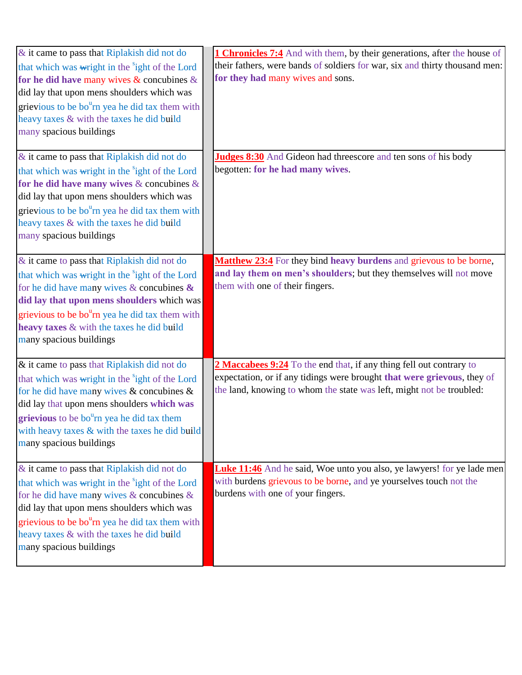| & it came to pass that Riplakish did not do<br>that which was wright in the <sup>s</sup> ight of the Lord<br>for he did have many wives $\&$ concubines $\&$<br>did lay that upon mens shoulders which was<br>grievious to be bo <sup>u</sup> rn yea he did tax them with<br>heavy taxes & with the taxes he did build<br>many spacious buildings    | <b>1 Chronicles 7:4</b> And with them, by their generations, after the house of<br>their fathers, were bands of soldiers for war, six and thirty thousand men:<br>for they had many wives and sons.                    |
|------------------------------------------------------------------------------------------------------------------------------------------------------------------------------------------------------------------------------------------------------------------------------------------------------------------------------------------------------|------------------------------------------------------------------------------------------------------------------------------------------------------------------------------------------------------------------------|
| & it came to pass that Riplakish did not do<br>that which was wright in the <sup>s</sup> ight of the Lord<br>for he did have many wives $\&$ concubines $\&$<br>did lay that upon mens shoulders which was<br>grievious to be bo <sup>u</sup> rn yea he did tax them with<br>heavy taxes & with the taxes he did build<br>many spacious buildings    | <b>Judges 8:30</b> And Gideon had threescore and ten sons of his body<br>begotten: for he had many wives.                                                                                                              |
| & it came to pass that Riplakish did not do<br>that which was wright in the <sup>s</sup> ight of the Lord<br>for he did have many wives $\&$ concubines $\&$<br>did lay that upon mens shoulders which was<br>grievious to be bo <sup>u</sup> rn yea he did tax them with<br>heavy taxes & with the taxes he did build<br>many spacious buildings    | Matthew 23:4 For they bind heavy burdens and grievous to be borne,<br>and lay them on men's shoulders; but they themselves will not move<br>them with one of their fingers.                                            |
| & it came to pass that Riplakish did not do<br>that which was wright in the <sup>s</sup> ight of the Lord<br>for he did have many wives $\&$ concubines $\&$<br>did lay that upon mens shoulders which was<br>grievious to be bo <sup>u</sup> rn yea he did tax them<br>with heavy taxes $\&$ with the taxes he did build<br>many spacious buildings | 2 Maccabees 9:24 To the end that, if any thing fell out contrary to<br>expectation, or if any tidings were brought that were grievous, they of<br>the land, knowing to whom the state was left, might not be troubled: |
| $\&$ it came to pass that Riplakish did not do<br>that which was wright in the <sup>s</sup> ight of the Lord<br>for he did have many wives $\&$ concubines $\&$<br>did lay that upon mens shoulders which was<br>grievious to be bo <sup>u</sup> rn yea he did tax them with<br>heavy taxes & with the taxes he did build<br>many spacious buildings | <b>Luke 11:46</b> And he said, Woe unto you also, ye lawyers! for ye lade men<br>with burdens grievous to be borne, and ye yourselves touch not the<br>burdens with one of your fingers.                               |